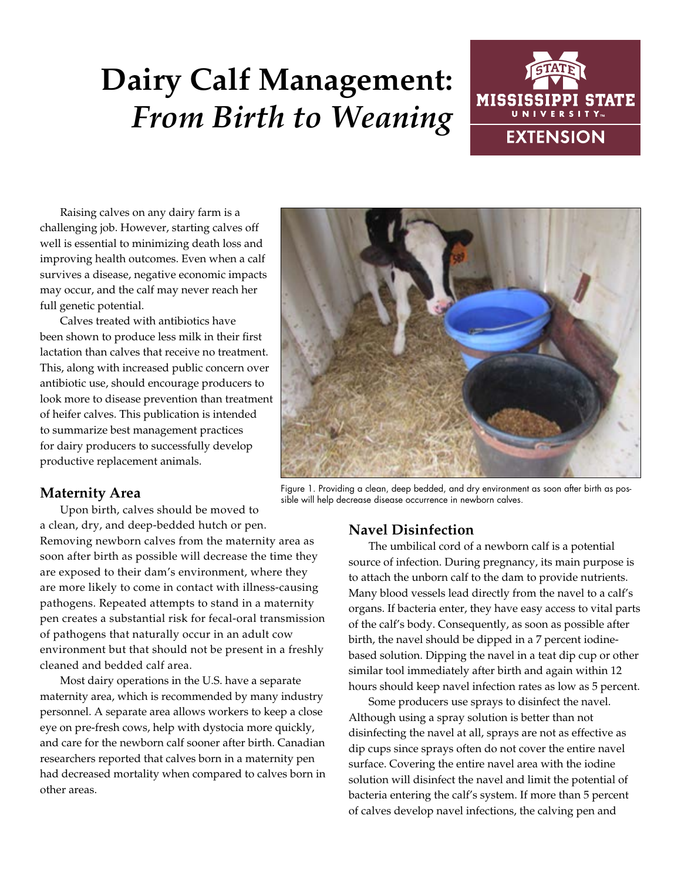# **Dairy Calf Management:**  *From Birth to Weaning*



Raising calves on any dairy farm is a challenging job. However, starting calves off well is essential to minimizing death loss and improving health outcomes. Even when a calf survives a disease, negative economic impacts may occur, and the calf may never reach her full genetic potential.

Calves treated with antibiotics have been shown to produce less milk in their first lactation than calves that receive no treatment. This, along with increased public concern over antibiotic use, should encourage producers to look more to disease prevention than treatment of heifer calves. This publication is intended to summarize best management practices for dairy producers to successfully develop productive replacement animals.

## **Maternity Area**

Upon birth, calves should be moved to

a clean, dry, and deep-bedded hutch or pen. Removing newborn calves from the maternity area as soon after birth as possible will decrease the time they are exposed to their dam's environment, where they are more likely to come in contact with illness-causing pathogens. Repeated attempts to stand in a maternity pen creates a substantial risk for fecal-oral transmission of pathogens that naturally occur in an adult cow environment but that should not be present in a freshly cleaned and bedded calf area.

Most dairy operations in the U.S. have a separate maternity area, which is recommended by many industry personnel. A separate area allows workers to keep a close eye on pre-fresh cows, help with dystocia more quickly, and care for the newborn calf sooner after birth. Canadian researchers reported that calves born in a maternity pen had decreased mortality when compared to calves born in other areas.



Figure 1. Providing a clean, deep bedded, and dry environment as soon after birth as possible will help decrease disease occurrence in newborn calves.

## **Navel Disinfection**

The umbilical cord of a newborn calf is a potential source of infection. During pregnancy, its main purpose is to attach the unborn calf to the dam to provide nutrients. Many blood vessels lead directly from the navel to a calf's organs. If bacteria enter, they have easy access to vital parts of the calf's body. Consequently, as soon as possible after birth, the navel should be dipped in a 7 percent iodinebased solution. Dipping the navel in a teat dip cup or other similar tool immediately after birth and again within 12 hours should keep navel infection rates as low as 5 percent.

Some producers use sprays to disinfect the navel. Although using a spray solution is better than not disinfecting the navel at all, sprays are not as effective as dip cups since sprays often do not cover the entire navel surface. Covering the entire navel area with the iodine solution will disinfect the navel and limit the potential of bacteria entering the calf's system. If more than 5 percent of calves develop navel infections, the calving pen and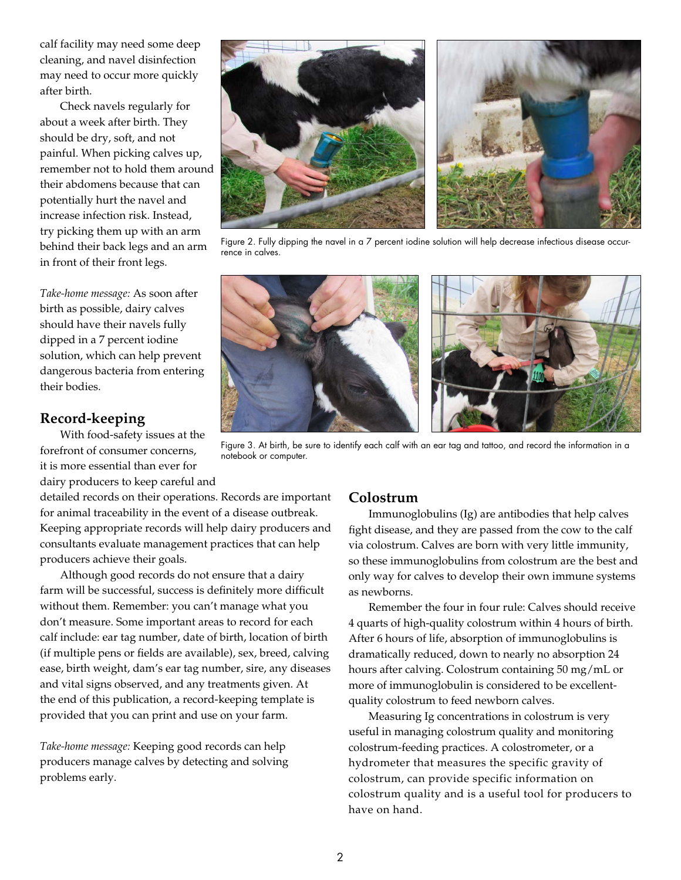calf facility may need some deep cleaning, and navel disinfection may need to occur more quickly after birth.

Check navels regularly for about a week after birth. They should be dry, soft, and not painful. When picking calves up, remember not to hold them around their abdomens because that can potentially hurt the navel and increase infection risk. Instead, try picking them up with an arm behind their back legs and an arm in front of their front legs.

*Take-home message:* As soon after birth as possible, dairy calves should have their navels fully dipped in a 7 percent iodine solution, which can help prevent dangerous bacteria from entering their bodies.

#### **Record-keeping**

With food-safety issues at the forefront of consumer concerns, it is more essential than ever for dairy producers to keep careful and

detailed records on their operations. Records are important for animal traceability in the event of a disease outbreak. Keeping appropriate records will help dairy producers and consultants evaluate management practices that can help producers achieve their goals.

Although good records do not ensure that a dairy farm will be successful, success is definitely more difficult without them. Remember: you can't manage what you don't measure. Some important areas to record for each calf include: ear tag number, date of birth, location of birth (if multiple pens or fields are available), sex, breed, calving ease, birth weight, dam's ear tag number, sire, any diseases and vital signs observed, and any treatments given. At the end of this publication, a record-keeping template is provided that you can print and use on your farm.

*Take-home message:* Keeping good records can help producers manage calves by detecting and solving problems early.

#### **Colostrum**

Immunoglobulins (Ig) are antibodies that help calves fight disease, and they are passed from the cow to the calf via colostrum. Calves are born with very little immunity, so these immunoglobulins from colostrum are the best and only way for calves to develop their own immune systems as newborns.

Remember the four in four rule: Calves should receive 4 quarts of high-quality colostrum within 4 hours of birth. After 6 hours of life, absorption of immunoglobulins is dramatically reduced, down to nearly no absorption 24 hours after calving. Colostrum containing 50 mg/mL or more of immunoglobulin is considered to be excellentquality colostrum to feed newborn calves.

Measuring Ig concentrations in colostrum is very useful in managing colostrum quality and monitoring colostrum-feeding practices. A colostrometer, or a hydrometer that measures the specific gravity of colostrum, can provide specific information on colostrum quality and is a useful tool for producers to have on hand.

Figure 2. Fully dipping the navel in a 7 percent iodine solution will help decrease infectious disease occurrence in calves.

Figure 3. At birth, be sure to identify each calf with an ear tag and tattoo, and record the information in a



notebook or computer.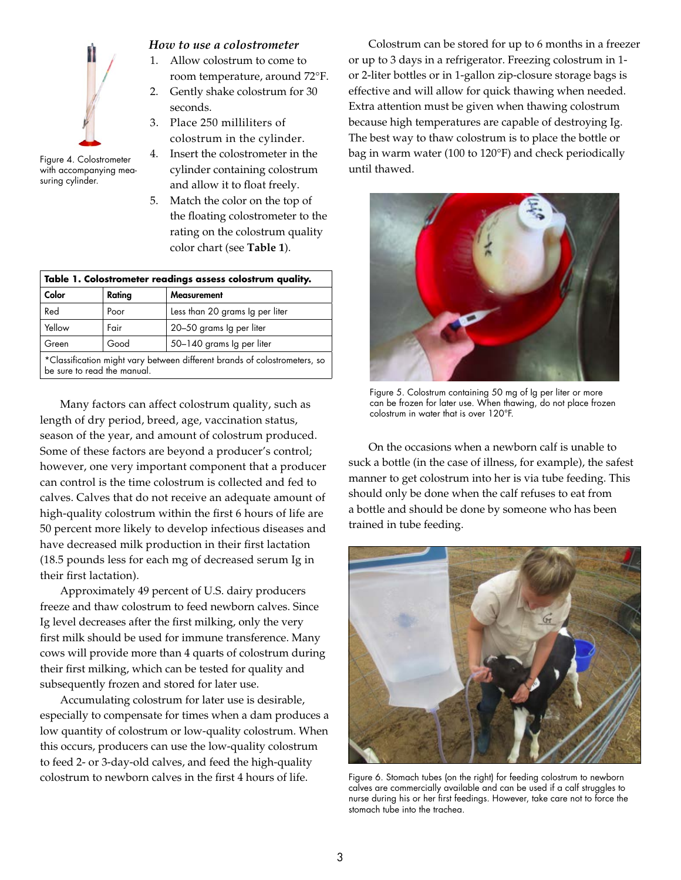

with accompanying measuring cylinder.

#### *How to use a colostrometer*

- 1. Allow colostrum to come to room temperature, around 72°F.
- 2. Gently shake colostrum for 30 seconds.
- 3. Place 250 milliliters of colostrum in the cylinder.
- 4. Insert the colostrometer in the Figure 4. Colostrometer F. HISELT THE COLOSTROTICIC TITTIC CALG IN WITH THE VIDEO.<br>
with accompanying mea-cylinder containing colostrum until thawed. and allow it to float freely.
	- 5. Match the color on the top of the floating colostrometer to the rating on the colostrum quality color chart (see **Table 1**).

| Table 1. Colostrometer readings assess colostrum quality.                                                |        |                                 |  |  |  |  |  |
|----------------------------------------------------------------------------------------------------------|--------|---------------------------------|--|--|--|--|--|
| Color                                                                                                    | Rating | Measurement                     |  |  |  |  |  |
| Red                                                                                                      | Poor   | Less than 20 grams Ig per liter |  |  |  |  |  |
| Yellow                                                                                                   | Fair   | 20-50 grams Ig per liter        |  |  |  |  |  |
| Green                                                                                                    | Good   | 50-140 grams Ig per liter       |  |  |  |  |  |
| *Classification might vary between different brands of colostrometers, so<br>be sure to read the manual. |        |                                 |  |  |  |  |  |

Many factors can affect colostrum quality, such as length of dry period, breed, age, vaccination status, season of the year, and amount of colostrum produced. Some of these factors are beyond a producer's control; however, one very important component that a producer can control is the time colostrum is collected and fed to calves. Calves that do not receive an adequate amount of high-quality colostrum within the first 6 hours of life are 50 percent more likely to develop infectious diseases and have decreased milk production in their first lactation (18.5 pounds less for each mg of decreased serum Ig in their first lactation).

Approximately 49 percent of U.S. dairy producers freeze and thaw colostrum to feed newborn calves. Since Ig level decreases after the first milking, only the very first milk should be used for immune transference. Many cows will provide more than 4 quarts of colostrum during their first milking, which can be tested for quality and subsequently frozen and stored for later use.

Accumulating colostrum for later use is desirable, especially to compensate for times when a dam produces a low quantity of colostrum or low-quality colostrum. When this occurs, producers can use the low-quality colostrum to feed 2- or 3-day-old calves, and feed the high-quality colostrum to newborn calves in the first 4 hours of life.

Colostrum can be stored for up to 6 months in a freezer or up to 3 days in a refrigerator. Freezing colostrum in 1 or 2-liter bottles or in 1-gallon zip-closure storage bags is effective and will allow for quick thawing when needed. Extra attention must be given when thawing colostrum because high temperatures are capable of destroying Ig. The best way to thaw colostrum is to place the bottle or bag in warm water (100 to 120°F) and check periodically



Figure 5. Colostrum containing 50 mg of Ig per liter or more can be frozen for later use. When thawing, do not place frozen colostrum in water that is over 120°F.

On the occasions when a newborn calf is unable to suck a bottle (in the case of illness, for example), the safest manner to get colostrum into her is via tube feeding. This should only be done when the calf refuses to eat from a bottle and should be done by someone who has been trained in tube feeding.



Figure 6. Stomach tubes (on the right) for feeding colostrum to newborn calves are commercially available and can be used if a calf struggles to nurse during his or her first feedings. However, take care not to force the stomach tube into the trachea.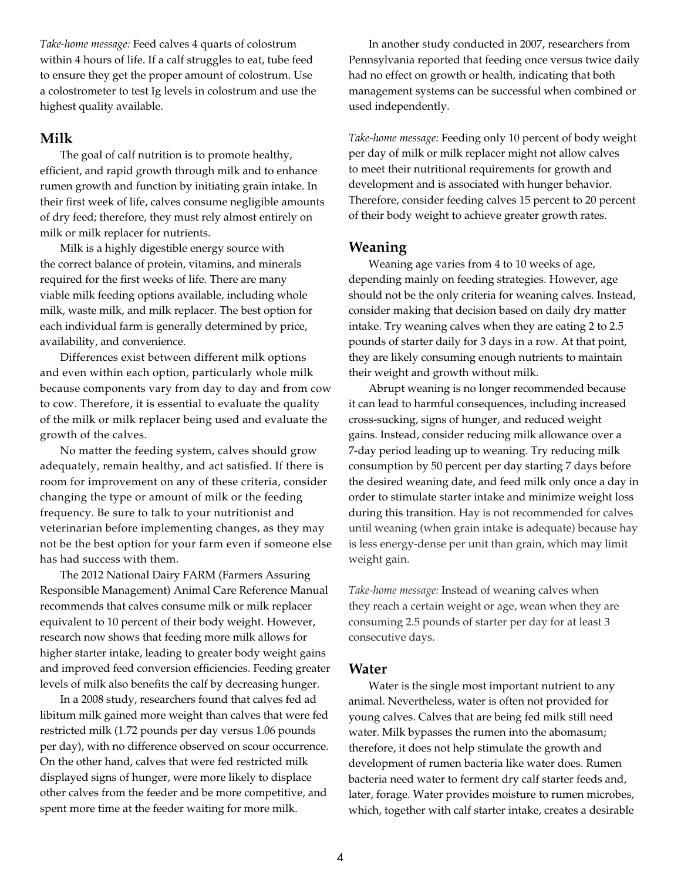*Take-home message:* Feed calves 4 quarts of colostrum within 4 hours of life. If a calf struggles to eat, tube feed to ensure they get the proper amount of colostrum. Use a colostrometer to test Ig levels in colostrum and use the highest quality available.

#### **Milk**

The goal of calf nutrition is to promote healthy, efficient, and rapid growth through milk and to enhance rumen growth and function by initiating grain intake. In their first week of life, calves consume negligible amounts of dry feed; therefore, they must rely almost entirely on milk or milk replacer for nutrients.

Milk is a highly digestible energy source with the correct balance of protein, vitamins, and minerals required for the first weeks of life. There are many viable milk feeding options available, including whole milk, waste milk, and milk replacer. The best option for each individual farm is generally determined by price, availability, and convenience.

Differences exist between different milk options and even within each option, particularly whole milk because components vary from day to day and from cow to cow. Therefore, it is essential to evaluate the quality of the milk or milk replacer being used and evaluate the growth of the calves.

No matter the feeding system, calves should grow adequately, remain healthy, and act satisfied. If there is room for improvement on any of these criteria, consider changing the type or amount of milk or the feeding frequency. Be sure to talk to your nutritionist and veterinarian before implementing changes, as they may not be the best option for your farm even if someone else has had success with them.

The 2012 National Dairy FARM (Farmers Assuring Responsible Management) Animal Care Reference Manual recommends that calves consume milk or milk replacer equivalent to 10 percent of their body weight. However, research now shows that feeding more milk allows for higher starter intake, leading to greater body weight gains and improved feed conversion efficiencies. Feeding greater levels of milk also benefits the calf by decreasing hunger.

In a 2008 study, researchers found that calves fed ad libitum milk gained more weight than calves that were fed restricted milk (1.72 pounds per day versus 1.06 pounds per day), with no difference observed on scour occurrence. On the other hand, calves that were fed restricted milk displayed signs of hunger, were more likely to displace other calves from the feeder and be more competitive, and spent more time at the feeder waiting for more milk.

In another study conducted in 2007, researchers from Pennsylvania reported that feeding once versus twice daily had no effect on growth or health, indicating that both management systems can be successful when combined or used independently.

*Take-home message:* Feeding only 10 percent of body weight per day of milk or milk replacer might not allow calves to meet their nutritional requirements for growth and development and is associated with hunger behavior. Therefore, consider feeding calves 15 percent to 20 percent of their body weight to achieve greater growth rates.

#### **Weaning**

Weaning age varies from 4 to 10 weeks of age, depending mainly on feeding strategies. However, age should not be the only criteria for weaning calves. Instead, consider making that decision based on daily dry matter intake. Try weaning calves when they are eating 2 to 2.5 pounds of starter daily for 3 days in a row. At that point, they are likely consuming enough nutrients to maintain their weight and growth without milk.

Abrupt weaning is no longer recommended because it can lead to harmful consequences, including increased cross-sucking, signs of hunger, and reduced weight gains. Instead, consider reducing milk allowance over a 7-day period leading up to weaning. Try reducing milk consumption by 50 percent per day starting 7 days before the desired weaning date, and feed milk only once a day in order to stimulate starter intake and minimize weight loss during this transition. Hay is not recommended for calves until weaning (when grain intake is adequate) because hay is less energy-dense per unit than grain, which may limit weight gain.

*Take-home message:* Instead of weaning calves when they reach a certain weight or age, wean when they are consuming 2.5 pounds of starter per day for at least 3 consecutive days.

#### **Water**

Water is the single most important nutrient to any animal. Nevertheless, water is often not provided for young calves. Calves that are being fed milk still need water. Milk bypasses the rumen into the abomasum; therefore, it does not help stimulate the growth and development of rumen bacteria like water does. Rumen bacteria need water to ferment dry calf starter feeds and, later, forage. Water provides moisture to rumen microbes, which, together with calf starter intake, creates a desirable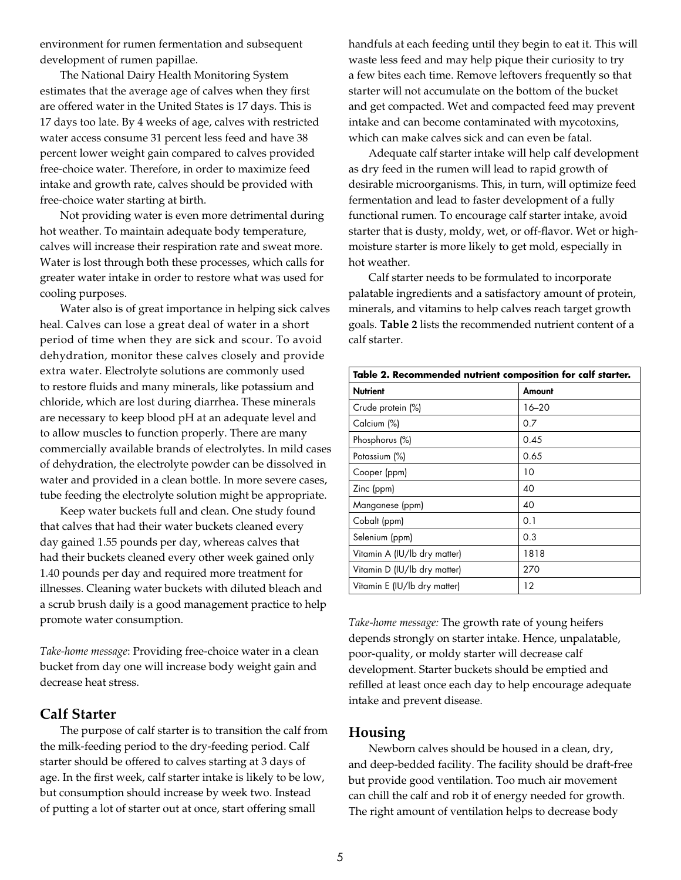environment for rumen fermentation and subsequent development of rumen papillae.

The National Dairy Health Monitoring System estimates that the average age of calves when they first are offered water in the United States is 17 days. This is 17 days too late. By 4 weeks of age, calves with restricted water access consume 31 percent less feed and have 38 percent lower weight gain compared to calves provided free-choice water. Therefore, in order to maximize feed intake and growth rate, calves should be provided with free-choice water starting at birth.

Not providing water is even more detrimental during hot weather. To maintain adequate body temperature, calves will increase their respiration rate and sweat more. Water is lost through both these processes, which calls for greater water intake in order to restore what was used for cooling purposes.

Water also is of great importance in helping sick calves heal. Calves can lose a great deal of water in a short period of time when they are sick and scour. To avoid dehydration, monitor these calves closely and provide extra water. Electrolyte solutions are commonly used to restore fluids and many minerals, like potassium and chloride, which are lost during diarrhea. These minerals are necessary to keep blood pH at an adequate level and to allow muscles to function properly. There are many commercially available brands of electrolytes. In mild cases of dehydration, the electrolyte powder can be dissolved in water and provided in a clean bottle. In more severe cases, tube feeding the electrolyte solution might be appropriate.

Keep water buckets full and clean. One study found that calves that had their water buckets cleaned every day gained 1.55 pounds per day, whereas calves that had their buckets cleaned every other week gained only 1.40 pounds per day and required more treatment for illnesses. Cleaning water buckets with diluted bleach and a scrub brush daily is a good management practice to help promote water consumption.

*Take-home message*: Providing free-choice water in a clean bucket from day one will increase body weight gain and decrease heat stress.

### **Calf Starter**

The purpose of calf starter is to transition the calf from the milk-feeding period to the dry-feeding period. Calf starter should be offered to calves starting at 3 days of age. In the first week, calf starter intake is likely to be low, but consumption should increase by week two. Instead of putting a lot of starter out at once, start offering small

handfuls at each feeding until they begin to eat it. This will waste less feed and may help pique their curiosity to try a few bites each time. Remove leftovers frequently so that starter will not accumulate on the bottom of the bucket and get compacted. Wet and compacted feed may prevent intake and can become contaminated with mycotoxins, which can make calves sick and can even be fatal.

Adequate calf starter intake will help calf development as dry feed in the rumen will lead to rapid growth of desirable microorganisms. This, in turn, will optimize feed fermentation and lead to faster development of a fully functional rumen. To encourage calf starter intake, avoid starter that is dusty, moldy, wet, or off-flavor. Wet or highmoisture starter is more likely to get mold, especially in hot weather.

Calf starter needs to be formulated to incorporate palatable ingredients and a satisfactory amount of protein, minerals, and vitamins to help calves reach target growth goals. **Table 2** lists the recommended nutrient content of a calf starter.

| Table 2. Recommended nutrient composition for calf starter. |        |  |  |  |  |  |
|-------------------------------------------------------------|--------|--|--|--|--|--|
| <b>Nutrient</b>                                             | Amount |  |  |  |  |  |
| Crude protein (%)                                           | 16–20  |  |  |  |  |  |
| Calcium (%)                                                 | 0.7    |  |  |  |  |  |
| Phosphorus (%)                                              | 0.45   |  |  |  |  |  |
| Potassium (%)                                               | 0.65   |  |  |  |  |  |
| Cooper (ppm)                                                | 10     |  |  |  |  |  |
| Zinc (ppm)                                                  | 40     |  |  |  |  |  |
| Manganese (ppm)                                             | 40     |  |  |  |  |  |
| Cobalt (ppm)                                                | 0.1    |  |  |  |  |  |
| Selenium (ppm)                                              | 0.3    |  |  |  |  |  |
| Vitamin A (IU/Ib dry matter)                                | 1818   |  |  |  |  |  |
| Vitamin D (IU/Ib dry matter)                                | 270    |  |  |  |  |  |
| Vitamin E (IU/Ib dry matter)                                | 12     |  |  |  |  |  |

*Take-home message:* The growth rate of young heifers depends strongly on starter intake. Hence, unpalatable, poor-quality, or moldy starter will decrease calf development. Starter buckets should be emptied and refilled at least once each day to help encourage adequate intake and prevent disease.

#### **Housing**

Newborn calves should be housed in a clean, dry, and deep-bedded facility. The facility should be draft-free but provide good ventilation. Too much air movement can chill the calf and rob it of energy needed for growth. The right amount of ventilation helps to decrease body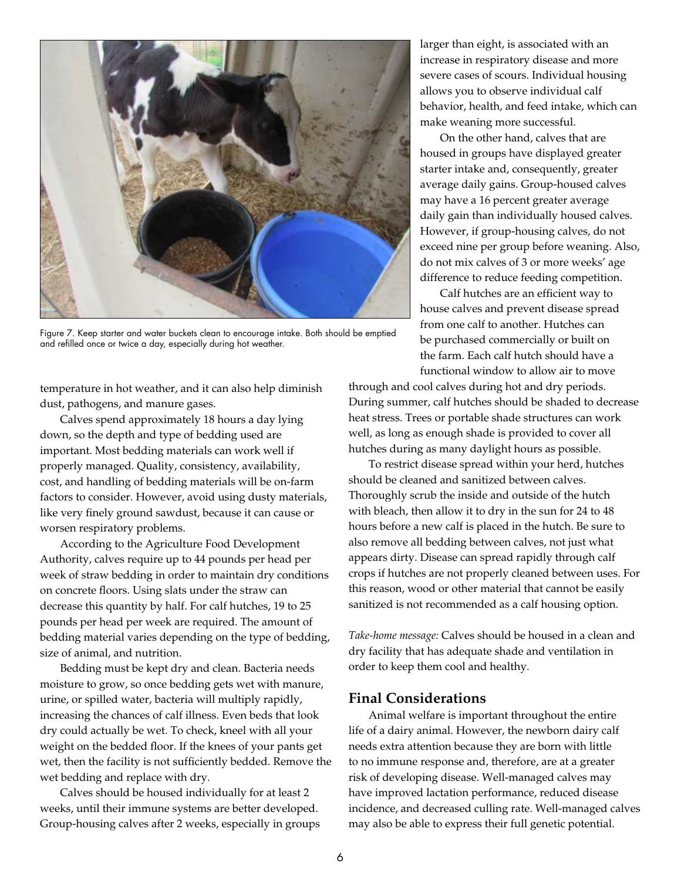

Figure 7. Keep starter and water buckets clean to encourage intake. Both should be emptied and refilled once or twice a day, especially during hot weather.

temperature in hot weather, and it can also help diminish dust, pathogens, and manure gases.

Calves spend approximately 18 hours a day lying down, so the depth and type of bedding used are important. Most bedding materials can work well if properly managed. Quality, consistency, availability, cost, and handling of bedding materials will be on-farm factors to consider. However, avoid using dusty materials, like very finely ground sawdust, because it can cause or worsen respiratory problems.

According to the Agriculture Food Development Authority, calves require up to 44 pounds per head per week of straw bedding in order to maintain dry conditions on concrete floors. Using slats under the straw can decrease this quantity by half. For calf hutches, 19 to 25 pounds per head per week are required. The amount of bedding material varies depending on the type of bedding, size of animal, and nutrition.

Bedding must be kept dry and clean. Bacteria needs moisture to grow, so once bedding gets wet with manure, urine, or spilled water, bacteria will multiply rapidly, increasing the chances of calf illness. Even beds that look dry could actually be wet. To check, kneel with all your weight on the bedded floor. If the knees of your pants get wet, then the facility is not sufficiently bedded. Remove the wet bedding and replace with dry.

Calves should be housed individually for at least 2 weeks, until their immune systems are better developed. Group-housing calves after 2 weeks, especially in groups larger than eight, is associated with an increase in respiratory disease and more severe cases of scours. Individual housing allows you to observe individual calf behavior, health, and feed intake, which can make weaning more successful.

On the other hand, calves that are housed in groups have displayed greater starter intake and, consequently, greater average daily gains. Group-housed calves may have a 16 percent greater average daily gain than individually housed calves. However, if group-housing calves, do not exceed nine per group before weaning. Also, do not mix calves of 3 or more weeks' age difference to reduce feeding competition.

Calf hutches are an efficient way to house calves and prevent disease spread from one calf to another. Hutches can be purchased commercially or built on the farm. Each calf hutch should have a functional window to allow air to move

through and cool calves during hot and dry periods. During summer, calf hutches should be shaded to decrease heat stress. Trees or portable shade structures can work well, as long as enough shade is provided to cover all hutches during as many daylight hours as possible.

To restrict disease spread within your herd, hutches should be cleaned and sanitized between calves. Thoroughly scrub the inside and outside of the hutch with bleach, then allow it to dry in the sun for 24 to 48 hours before a new calf is placed in the hutch. Be sure to also remove all bedding between calves, not just what appears dirty. Disease can spread rapidly through calf crops if hutches are not properly cleaned between uses. For this reason, wood or other material that cannot be easily sanitized is not recommended as a calf housing option.

*Take-home message:* Calves should be housed in a clean and dry facility that has adequate shade and ventilation in order to keep them cool and healthy.

#### **Final Considerations**

Animal welfare is important throughout the entire life of a dairy animal. However, the newborn dairy calf needs extra attention because they are born with little to no immune response and, therefore, are at a greater risk of developing disease. Well-managed calves may have improved lactation performance, reduced disease incidence, and decreased culling rate. Well-managed calves may also be able to express their full genetic potential.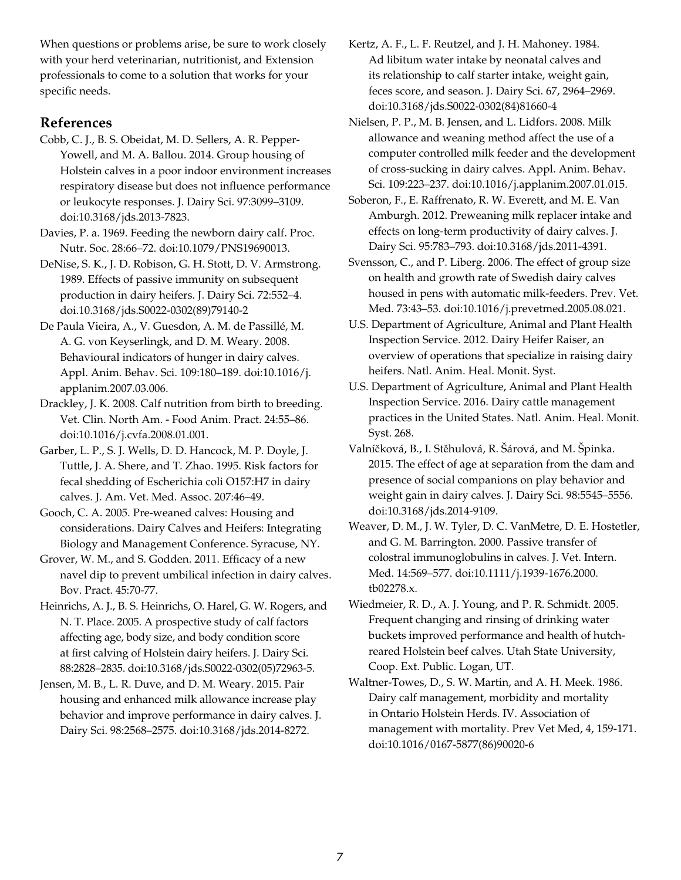When questions or problems arise, be sure to work closely with your herd veterinarian, nutritionist, and Extension professionals to come to a solution that works for your specific needs.

## **References**

- Cobb, C. J., B. S. Obeidat, M. D. Sellers, A. R. Pepper-Yowell, and M. A. Ballou. 2014. Group housing of Holstein calves in a poor indoor environment increases respiratory disease but does not influence performance or leukocyte responses. J. Dairy Sci. 97:3099–3109. doi:10.3168/jds.2013-7823.
- Davies, P. a. 1969. Feeding the newborn dairy calf. Proc. Nutr. Soc. 28:66–72. doi:10.1079/PNS19690013.
- DeNise, S. K., J. D. Robison, G. H. Stott, D. V. Armstrong. 1989. Effects of passive immunity on subsequent production in dairy heifers. J. Dairy Sci. 72:552–4. doi.10.3168/jds.S0022-0302(89)79140-2
- De Paula Vieira, A., V. Guesdon, A. M. de Passillé, M. A. G. von Keyserlingk, and D. M. Weary. 2008. Behavioural indicators of hunger in dairy calves. Appl. Anim. Behav. Sci. 109:180–189. doi:10.1016/j. applanim.2007.03.006.
- Drackley, J. K. 2008. Calf nutrition from birth to breeding. Vet. Clin. North Am. - Food Anim. Pract. 24:55–86. doi:10.1016/j.cvfa.2008.01.001.
- Garber, L. P., S. J. Wells, D. D. Hancock, M. P. Doyle, J. Tuttle, J. A. Shere, and T. Zhao. 1995. Risk factors for fecal shedding of Escherichia coli O157:H7 in dairy calves. J. Am. Vet. Med. Assoc. 207:46–49.
- Gooch, C. A. 2005. Pre-weaned calves: Housing and considerations. Dairy Calves and Heifers: Integrating Biology and Management Conference. Syracuse, NY.
- Grover, W. M., and S. Godden. 2011. Efficacy of a new navel dip to prevent umbilical infection in dairy calves. Bov. Pract. 45:70-77.
- Heinrichs, A. J., B. S. Heinrichs, O. Harel, G. W. Rogers, and N. T. Place. 2005. A prospective study of calf factors affecting age, body size, and body condition score at first calving of Holstein dairy heifers. J. Dairy Sci. 88:2828–2835. doi:10.3168/jds.S0022-0302(05)72963-5.
- Jensen, M. B., L. R. Duve, and D. M. Weary. 2015. Pair housing and enhanced milk allowance increase play behavior and improve performance in dairy calves. J. Dairy Sci. 98:2568–2575. doi:10.3168/jds.2014-8272.
- Kertz, A. F., L. F. Reutzel, and J. H. Mahoney. 1984. Ad libitum water intake by neonatal calves and its relationship to calf starter intake, weight gain, feces score, and season. J. Dairy Sci. 67, 2964–2969. doi:10.3168/jds.S0022-0302(84)81660-4
- Nielsen, P. P., M. B. Jensen, and L. Lidfors. 2008. Milk allowance and weaning method affect the use of a computer controlled milk feeder and the development of cross-sucking in dairy calves. Appl. Anim. Behav. Sci. 109:223–237. doi:10.1016/j.applanim.2007.01.015.
- Soberon, F., E. Raffrenato, R. W. Everett, and M. E. Van Amburgh. 2012. Preweaning milk replacer intake and effects on long-term productivity of dairy calves. J. Dairy Sci. 95:783–793. doi:10.3168/jds.2011-4391.
- Svensson, C., and P. Liberg. 2006. The effect of group size on health and growth rate of Swedish dairy calves housed in pens with automatic milk-feeders. Prev. Vet. Med. 73:43–53. doi:10.1016/j.prevetmed.2005.08.021.
- U.S. Department of Agriculture, Animal and Plant Health Inspection Service. 2012. Dairy Heifer Raiser, an overview of operations that specialize in raising dairy heifers. Natl. Anim. Heal. Monit. Syst.
- U.S. Department of Agriculture, Animal and Plant Health Inspection Service. 2016. Dairy cattle management practices in the United States. Natl. Anim. Heal. Monit. Syst. 268.
- Valníčková, B., I. Stěhulová, R. Šárová, and M. Špinka. 2015. The effect of age at separation from the dam and presence of social companions on play behavior and weight gain in dairy calves. J. Dairy Sci. 98:5545–5556. doi:10.3168/jds.2014-9109.
- Weaver, D. M., J. W. Tyler, D. C. VanMetre, D. E. Hostetler, and G. M. Barrington. 2000. Passive transfer of colostral immunoglobulins in calves. J. Vet. Intern. Med. 14:569–577. doi:10.1111/j.1939-1676.2000. tb02278.x.
- Wiedmeier, R. D., A. J. Young, and P. R. Schmidt. 2005. Frequent changing and rinsing of drinking water buckets improved performance and health of hutchreared Holstein beef calves. Utah State University, Coop. Ext. Public. Logan, UT.
- Waltner-Towes, D., S. W. Martin, and A. H. Meek. 1986. Dairy calf management, morbidity and mortality in Ontario Holstein Herds. IV. Association of management with mortality. Prev Vet Med, 4, 159-171. doi:10.1016/0167-5877(86)90020-6